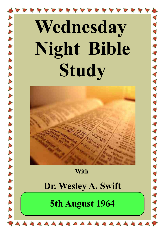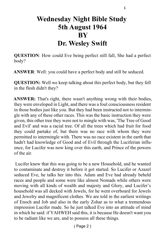### **Wednesday Night Bible Study 5th August 1964 BY Dr. Wesley Swift**

**QUESTION**: How could Eve being perfect still fall, She had a perfect body?

**ANSWER**: Well: you could have a perfect body and still be seduced.

**QUESTION:** Well we keep talking about this perfect body, but they fell in the flesh didn't they?

**ANSWER:** That's right, there wasn't anything wrong with their bodies, they were enveloped in Light, and there was a foul consciousness resident in those bodies just like you. But they had been instructed not to intermingle with any of these other races. This was the basic instruction they were given, this other tree they were not to mingle with was, 'The Tree of Good and Evil' and was a racial tree. Of all the trees which had fruit for food they could partake of, but there was no race with whom they were permitted to intermingle with. There was no race existent in the earth that hadn't had knowledge of Good and of Evil through the Luciferian influence, for Lucifer was now king over this earth, and Prince of the powers of the air.

 Lucifer knew that this was going to be a new Household, and he wanted to contaminate and destroy it before it got started. So Lucifer or Azazel seduced Eve, he talks her into this. Adam and Eve had already beheld races and people and some were like almost Nomads while others were moving with all kinds of wealth and majesty and Glory, and Lucifer's household was all decked with Jewels, for he went overboard for Jewels and Jewelry and magnificent clothes. We are told in the earliest writings of Enoch and Job and also in the early Zohar as to what a tremendous impression Lucifer made. So he just talked Eve into an attitude of mind in which he said: if YAHWEH said this, it is because He doesn't want you to be radiant like we are, and to possess all these things.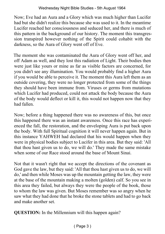Now; Eve had an Aura and a Glory which was much higher than Lucifer had but she didn't realize this because she was used to it. In the meantime Lucifer reached her consciousness and seduced her, and there is much of this pattern in the background of our history. The moment this transgression transpired however nothing of the Spirit could cohabit with the darkness, so the Aura of Glory went off of Eve.

The moment she was contaminated the Aura of Glory went off her, and off Adam as well, and they lost this radiation of Light. Their bodies then were just like yours or mine as far as visible factors are concerned, for you didn't see any illumination. You would probably find a higher Aura if you would be able to perceive it. The moment this Aura left them as an outside covering, they were no longer protected from some of the things they should have been immune from. Viruses or germs from mutations which Lucifer had produced, could not attack the body because the Aura of the body would deflect or kill it, this would not happen now that they had fallen.

Now; before a thing happened there was no awareness of this, but once this happened there was an instant awareness. Once this race has experienced the fall, the restoration, and the enveloping Aura is put back upon the body. With full Spiritual cognition it will never happen again. But in this instance YAHWEH had declared that his would happen when they were in physical bodies subject to Lucifer in this area. But they said: 'All that thou hast given us to do, we will do.' They made the same mistake when some of our Race stood around the base of Mount Sinai.

Not that it wasn't right that we accept the directions of the covenant as God gave the law, but they said: 'All that thou hast given us to do, we will do,' and then while Moses was up the mountain getting the law, they were at the base of the mountain making a molten (golden) calf. So you see in this area they failed, but always they were the people of the book, those to whom the law was given. But Moses remember was so angry when he saw what they had done that he broke the stone tablets and had to go back and make another set.

**QUESTION:** In the Millennium will this happen again?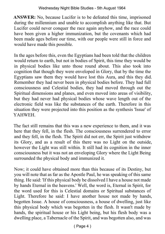**ANSWER:** No, because Lucifer is to be defeated this time, imprisoned during the millennium and unable to accomplish anything like that. But Lucifer could never conquer the race again anyhow, and the race could have been given a higher immunization, but the covenants which had been made ages before our time, with our people were still in force and would have made this possible.

In the ages before this, even the Egyptians had been told that the children would return to earth, but not in bodies of Spirit, this time they would be in physical bodies like unto those round about. This also took into cognition that though they were enveloped in Glory, that by the time the Egyptians saw them they would have lost this Aura, and this they did. Remember they had never been in physical bodies before. They had full consciousness and Celestial bodies, they had moved through out the Spiritual dimensions and planes, and even moved into areas of visibility, but they had never had physical bodies whose wave length out of the electronic field was like the substances of the earth. Therefore in this situation they were projected into this position as the synthesis 'Issue' of YAHWEH.

The fact still remains that this was a new experience to them, and it was here that they fell, in the flesh. The consciousness surrendered to error and they fell, in the flesh. The Spirit did not err, the Spirit just withdrew its Glory, and as a result of this there was no Light on the outside, however the Light was still within. It still had its cognition in the inner consciousness but it was not an enveloping Glory where the Light Being surrounded the physical body and immunized it.

Now; it could have obtained more than this because of its Destiny, but you will note that as far as the Apostle Paul, he was speaking of this same thing. He said: 'If this physical body be dissolved I have a house not made by hands Eternal in the heavens.' Well, the word is, Eternal in Spirit, for the word used for this is Celestial domains or Spiritual substances of Light. Therefore he said: I have another house not made by hands, begotten Issue. A house of consciousness, a house of dwelling, just like this physical body which was begotten in the flesh. It wasn't made by hands, the spiritual house or his Light being, but his flesh body was a dwelling place, a Tabernacle of the Spirit, and was begotten also, and was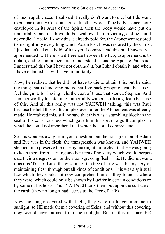of incorruptible seed. Paul said: I really don't want to die, but I do want to put back on my Celestial house. In other words if the body is once more enveloped in its Aura of the Spirit, then the body would have put on immortality, and death would be swallowed up in victory, and he could never die. He said: I know this is already paid for, the Atonement restored to me rightfully everything which Adam lost. It was restored by the Christ, I just haven't taken a hold of it as yet. I comprehend this but I haven't yet apprehended it. There is a difference between the two, to apprehend is to obtain, and to comprehend is to understand. Thus the Apostle Paul said: I understand this but I have not obtained it, but I shall obtain it, and when I have obtained it I will have immortality.

Now; he realized that he did not have to die to obtain this, but he said: the thing that is hindering me is that I go back grasping death because I feel the guilt, for having held the coat of those that stoned Stephen. And I am not worthy to enter into immortality without suffering death because of this. And all this really was not YAHWEH talking, this was Paul because he held this guilt complex even after the Atonement was already made. He realized this, still he said that this was a stumbling block in the seat of his consciousness which gave him this sort of a guilt complex in which he could not apprehend that which he could comprehend.

So this wonders away from your question, but the transgression of Adam and Eve was in the flesh, the transgression was known, and YAHWEH stepped in to preserve the race by making it quite clear that He was going to keep them from learning another area of mystery which would perpetuate their transgression, or their transgressing flesh. This He did not want, thus this 'Tree of Life', the wisdom of the tree of Life was the mystery of maintaining flesh through out all kinds of conditions. This was a spiritual law which they could not now comprehend unless they found it where they were, which could only be shown by Lucifer in certain conditions or by some of his hosts. Thus YAHWEH took them out upon the surface of the earth (they no longer had access to the Tree of Life).

Now; no longer covered with Light, they were no longer immune to sunlight, so HE made them a covering of Skins, and without this covering they would have burned from the sunlight. But in this instance HE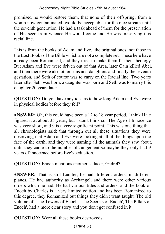promised he would restore them, that none of their offspring, from a womb now contaminated, would be acceptable for the race stream until the seventh generation. He had a task ahead of them for the preservation of His seed from whence He would come and He was preserving this racial line.

This is from the books of Adam and Eve, .the original ones, not those in the Lost Books of the Bible which are not a complete set. These here have already been Romanised, and they tried to make them fit their theology. But Adam and Eve were driven out of that Area, later Cain killed Abel, and then there were also other sons and daughters and finally the seventh gestation, and Seth of course was to carry on the Racial line. Two years later after Seth was born, a daughter was born and Seth was to marry this daughter 20 years later.

**QUESTION:** Do you have any idea as to how long Adam and Eve were in physical bodies before they fell?

**ANSWER:** Oh, this could have been a 12 to 18 year period. I think Hale figured it at about 35 years, but I don't think so. The Age of Innocence was very short, and 9 is a very significant point. This was one thing that all chronologists said: that through out all these situations they were observing, that Adam and Eve were looking at all of the things upon the face of the earth, and they were naming all the animals they saw about, until they came to the number of Judgement so maybe they only had 9 years of innocence before Eve's seduction.

**QUESTION:** Enoch mentions another seducer, Gadrel?

**ANSWER:** That is still Lucifer, he had different orders, in different planes. He had authority as Archangel, and there were other various orders which he had. He had various titles and orders, and the book of Enoch by Charles is a very limited edition and has been Romanized to this degree, they Romanized out things they didn't want taught. The old volume of, 'The Towers of Enoch', 'The Secrets of Enoch', The Pillars of Enoch', had a more clear story and you don't get confused in it.

**QUESTION:** Were all these books destroyed?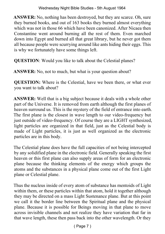**ANSWER:** No, nothing has been destroyed, but they are scarce. Oh, sure they burned books, and out of 163 books they burned almost everything which was not in those 66 which have been canonized. After Nicaea then Constantine went around burning all the rest of them. Even marched down into Egypt and burned all that great library, but he never got them all because people were scurrying around like ants hiding their eggs. This is why we fortunately have some things left.

**QUESTION**: Would you like to talk about the Celestial planes?

**ANSWER:** No, not to much, but what is your question about?

**QUESTION:** Where is the Celestial, have we been there, or what ever you want to talk about?

**ANSWER:** Well that is a big subject because it deals with a whole other part of the Universe. It is removed from earth although the first planes of heaven surround us. This is the mystery of the field of entrance into earth. The first plane is the closest in wave length to our video-frequency but just outside of video-frequency. Of course they are a LIGHT synthesized, light particles are organized in that field, just as the Celestial body is made of Light particles, it is just as well organized as the electronic particles are in this body.

The Celestial plane does have the full capacities of not being intercepted by any solidified plane in the electronic field. Generally speaking the first heaven or this first plane can also supply areas of form for an electronic plane because the thinking elements of the energy which groups the atoms and the substances in a physical plane come out of the first Light plane or Celestial plane.

Thus the nucleus inside of every atom of substance has mentoids of Light within them, or these particles within that atom, hold it together although they may be directed on a mass Light Sustenance plane. But at this point we call it the border line between the Spiritual plane and the physical plane. Because it is possible for Beings moving in that plane to move across invisible channels and not realize they have variation that far in that wave length, these then pass back into the other wavelength. Or they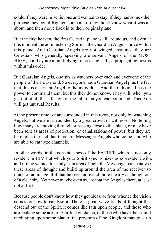could if they were mischievous and wanted to stay, if they had some other purpose they could frighten someone if they didn't know what it was all about, and then move back in to their original plane.

But the first heaven, the first Celestial plane is all around us, and even at this moment the administering Spirits, .the Guardian Angels move within this plane. And Guardian Angels are not winged creatures, they are Celestials who generally speaking are servant Angels of the MOST HIGH, but they are a multiplying, increasing staff, a propagating host is within this order.

But Guardian Angels, one sits as watchers over each and everyone of the people of the Household. So everyone has a Guardian Angel plus the fact that this is a servant Angel to the individual. And the individual has the power to command them, but this they do not know. They will, when you get out of all these factors of the fall, then you can command. Then you will get unusual Results.

At the present time we are surrounded in this room, not only by watching Angels, but we are surrounded by a great crowd of witnesses. No telling how many are moving through or passing close to this plane, or may have been sent as areas of protection, or canalizations of power, but they are here, plus the fact that there are Messenger Angels who come, and who are able to catalyze channels.

In other words, in the consciousness of the FATHER which is not only resident in HIM but which your Spirit synchronizes as co-resident with, and if they wanted to catalyse an area of field the Messenger can catalyse these areas of thought and build up around the area of the receiver so much of an image of it that he sees more and more clearly as though out of a clear sky. Yet never maybe even aware that the Angel is there, at least not at first.

Because people don't know how they get ideas, or from whence the vision comes, or how to catalyse it. There is great wave fields of thought that descend out of the Spirit, it comes like rain upon people, and those who are seeking some area of Spiritual guidance, or those who have their mind meditating upon some plan of the program of the Kingdom may pick up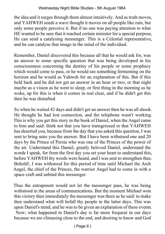the idea and it surges through them almost intuitively. And as truth moves, and YAHWEH sends a wave thought it moves on all people like rain, but only some people perceive it. But if no one was paying attention to what HE wanted to be sure that it reached certain minister for a special purpose, He can send a catalysing messenger. This is a Celestial representative, and he can catalyse that image in the mind of the individual.

Remember, Daniel discovered this because all that he would ask for, was an answer to some specific question that was being developed in his consciousness concerning the destiny of his people or some prophecy which would come to pass, or he would see something fermenting on the horizon and he would as Yahweh for an explanation of this. But if this held back and he did not get an answer in an hour or two, or that night maybe as a vision as he went to sleep, or first thing in the morning as he woke, up for this is when it comes in real clear, and if he didn't get this then he was disturbed.

So when he waited 42 days and didn't get an answer then he was all shook. He thought he had lost connection, and the telephone wasn't working. This is why you get this story in the book of Daniel, when the Angel came to him and said: think not that you have transgressed or that YAHWEH has deserted you, because from the day that you asked this question, I was sent to bring unto you the answer. But I have been withstood one and 20 days by the Prince of Persia who was one of the Princes of the power of the air. Understand this Daniel, greatly beloved Daniel, understand the words I speak, for from the first day you set your heart to understand this, before YAHWEH thy words were heard, and I was sent to strengthen thee. Behold!, I was withstood for this period of time until Michael the Arch Angel, the chief of the Princes, the warrior Angel had to come in with a space craft and unbind this messenger.

Thus the entrapment would not let the messenger pass, he was being withstood in the areas of communications. But the moment Michael won this victory then immediately the messenger was there as he said: to make thee understand what will befall thy people in the latter days. This was upon Daniel's mind, and he was to be given an explanation of these events. Now; what happened in Daniel's day is far more frequent in our days because we are climaxing close to the end, and desiring to know and God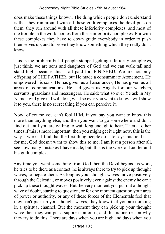does make these things known. The thing which people don't understand is that they run around with all these guilt complexes the devil puts on them, they run around with all these inferiority complexes, and most of the trouble in the world comes from these inferiority complexes. For with these complexes they have to down grade everybody in order to push themselves up, and to prove they know something which they really don't know.

This is the problem but if people stopped getting inferiority complexes, just think, we are sons and daughters of God and we can walk tall and stand high, because this is all paid for, FINISHED. We are not only offspring of THE FATHER, but He made a consummate Atonement, He empowered his sons, He has given us all assurances, He has given us all areas of communications, He had given us Angels for our watchers, servants, guardians and messengers. He said: what so ever Ye ask in My Name I will give it. I will do it, what so ever you want to know I will show it to you, there is no secret thing if you can perceive it.

Now: of course you can't fool HIM, if you say you want to know this more than anything else, and then you want to go somewhere and don't find out until you are willing to wait long enough to hear. Then at other times if this is more important, then you might get it right now, this is the way it works. I find that the first thing people do is to say: this field isn't for me, God doesn't want to show this to me, I am just a person after all, see how many mistakes I have made, but, this is the work of Lucifer and his guilt complex.

Any time you want something from God then the Devil begins his work, he tries to be there as a contact, he is always there to try to pick up thought waves, to negate them. As long as your thought waves move positively through the Celestial, or moves positively even against the enemy he can't pick up these thought waves. But the very moment you put out a thought wave of doubt, starting to question, or for one moment question your area of power or authority, or any of these forces of the Elementals feel that they can't pick up your thought waves, they know that you are thinking in a spiritual channel. But the moment they can pick up your thought wave then they can put a suppression on it, and this is one reason why they try to do this. There are days when you are high and days when you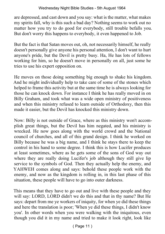are depressed, and cast down and you say: what is the matter, what makes my spirits fall, why is this such a bad day? Nothing seems to work out no matter how you try to do good for everybody, still trouble befalls you. But don't worry this happens to everybody, it even happened to Job.

But the fact is that Satan moves out, oh, not necessarily himself, he really doesn't personally give anyone his personal attention, I don't want to hurt anyone's pride, but the Devil is pretty busy. Ha, He has lots of fellows working for him, so he doesn't move in personally on all, just some he tries to use his expert opposition on.

He moves on those doing something big enough to shake his kingdom. And he might individually help to take care of some of the stones which helped to frame this activity but at the same time he is always looking for those he can knock down. For instance I think he has really moved in on Billy Graham, and took what was a wide open ministry of positiveness and when this ministry refused to learn outside of Orthodoxy, then this made it easier, but the Devil has knocked this ministry down.

Now: Billy is not outside of Grace, where as this ministry won't accomplish great things, but the Devil has him negated, and his ministry is wrecked. He now goes along with the world crowd and the National council of churches, and all of this grand design. I think he worked on Billy because he was a big name, and I think he stays there to keep the control in his hand to some degree. I think this is how Lucifer produces at least sometimes, where as he gets some of the sons of God way out where they are really doing Lucifer's job although they still give lip service to the symbols of God. Then they actually help the enemy, and YAHWEH comes along and says: behold these people work with the enemy, and now as the kingdom is rolling in, in this last phase of this situation, these people will have to go into outer darkness.

This means that they have to go out and live with these people and they will say: LORD, LORD didn't we do this and that in thy name? But He says: depart from me ye workers of iniquity, for when ye did these things and here the translation is poor; 'When ye did these things, I didn't know you'. In other words when you were walking with the iniquitous, even though you did it in my name and tried to make it look right, look like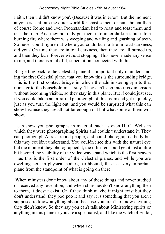Faith, then 'I didn't know you'. (Because it was in error). But the moment anyone is sent into the outer world for chastisement or punishment then of course Rome and even Protestantism had to roast and toast them and tear them up. And they not only put them into inner darkness but into a burning fire where there was weeping and wailing and gnashing of teeth. So never could figure out where you could burn a fire in total darkness, did you? On time they are in total darkness, then they are all burned up, and then they burn forever without stopping. This never made any sense to me, and there is a lot of it, superstition, connected with this.

But getting back to the Celestial plane it is important only in understanding the first Celestial plane, that you know this is the surrounding bridge. This is the first contact bridge in which the administering spirits that minister to the household must stay. They can't step into this dimension without becoming visible, so they stay in this plane. But if could just see, if you could taken an infra‑red photograph of this room and get it quickly, just as you turn the light out, and you would be surprised what this can show because they are all not far enough out but what some of them will show.

I can show you photographs in material, such as even H. G. Wells in which they were photographing Spirits and couldn't understand it. They can photograph Auras around people, and could photograph a body but this they couldn't understand. You couldn't see this with the natural eye but the moment they photographed it, the infra-red could get it just a little bit beyond the visibility of the video wave band which is the first heaven. Thus this is the first order of the Celestial planes, and while you are dwelling here in physical bodies, earthbound, this is a very important plane from the standpoint of what is going on there.

 When ministers don't know about any of these things and never studied or received any revelation, and when churches don't know anything then to them, it doesn't exist. Or if they think maybe it might exist but they don't understand, they poo poo it and say it is something that you aren't supposed to know anything about, because you aren't to know anything they didn't know. So they say you can't talk about Ministering spirits or anything in this plane or you are a spiritualist, and like the witch of Endor,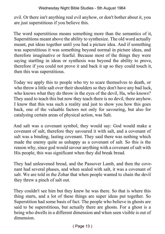evil. Or there isn't anything real evil anyhow, or don't bother about it, you are just superstitious if you believe this.

The word superstitious means something more than the semantics of it, Superstitions meant above the ability to synthesize. The old word actually meant, put ideas together until you had a picture idea. And if something was superstitious it was something beyond normal in picture ideas, and therefore imaginative or fearful. Because most of the things they were saying startling in ideas or synthesis was beyond the ability to prove, therefore if you could not prove it and back it up so they could touch it, then this was superstitious.

Today we apply this to people who try to scare themselves to death, or who throw a little salt over their shoulders so they don't have any bad luck, who knows what they do throw in the eyes of the devil, Ha, who knows? They used to teach this but now they teach there is no devil, there anyhow. I know that this was such a reality and just to show you how this goes back, one of the valuable factors not only for savouring, but also for catalysing certain areas of physical action, was Salt.

And salt was a covenant symbol, they would say: God would make a covenant of salt, therefore they savoured it with salt, and a covenant of salt was a binding, lasting covenant. They said there was nothing which made the enemy quite as unhappy as a covenant of salt. So this is the reason why, since god would savour anything with a covenant of salt with His people, this was significant when they did break bread.

They had unleavened bread, and the Passover Lamb, and then the covenant had several phases, and when sealed with salt, it was a covenant of salt. We are told in the Zohar that when people wanted to chain the devil they threw a pinch of salt out.

They couldn't see him but they knew he was there. So that is where this thing starts, and a lot of these things are super ideas put together. So Superstition had some basis of fact. The people who believe in ghosts are said to be superstitious, but actually there are ghosts. For a ghost is a being who dwells in a different dimension and when seen visible is out of dimension.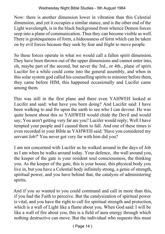Now: there is another dimension lower in vibration than this Celestial dimension, and yet it occupies a similar stance, and is the other end of the Light wavelength, is in the black background from whence Demon forces seep into a plane of communication. Thus they can become visible as well. There is grotesqueness of form, a hideousness of form which can be taken on by evil forces because they seek by fear and fright to move people.

So these forces operate in what we would call a fallen spirit dimension. They have been thrown out of the upper dimensions and cannot enter into, oh, maybe part of the second, but never the 3rd., or 4th., plane of spirit. Lucifer for a while could come into the general assembly, and when in this solar system god called his counselling spirits to minister before them, they came before HIM, this happened occasionally and Lucifer came among them.

This was still in the first plane and there even YAHWEH looked at Lucifer and said: what have you been doing? And Lucifer said: I have been walking to and fro upon the earth to see who I can devour. He was quite honest about this so YAHWEH would chide the Devil and would say; You aren't getting very far are you? Lucifer would reply; Well I have tempted your people and I caused them to fall. And one of these times is even recorded in your Bible as YAHWEH said: 'Have you considered my servant Job?' You never got very far with him did you?

I am not concerned with Lucifer as he walked around in the days of Job as I am when he walks around today. Your defence, .the wall around you, the keeper of the gate is your resident soul consciousness, the thinking you. As the keeper of the gate, this is your house, this physical body you live in, but you have a Celestial body infinitely strong, a genie of strength, spiritual power, and you have behind that, the catalysis of administering spirits.

And if you so wanted to you could command and call in more than this, if you had the Faith to perceive. But the catalysization of spiritual power is vital, and you have the right to call for spiritual strength and protection, which is a wall of Light like a flame about you. When God said: I will be like a wall of fire about you, this is a field of aura energy through which nothing destructive can move. But the individual who requests this must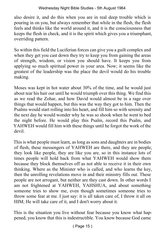also desire it, and do this when you are in real deep trouble which is pouring in on you, but always remember that while in the flesh, the flesh feels and thinks like the world around it, and it is the consciousness that keeps the flesh in check, and it is the spirit which gives you a triumphant, overriding pattern.

So within this field the Luciferian forces can give you a guilt complex and when they get you cast down they try to keep you from gaining the areas of strength, wisdom, or vision you should have. It keeps you from applying so much spiritual power in your area. Now; it seems like the greatest of the leadership was the place the devil would do his trouble making.

Moses was kept in hot water about 30% of the time, and he would just about tear his hair out until he would triumph over this thing. We find this as we read the Zohar, and how David would almost be in a rage over things that would happen, but this was the way they got to him. Then the Psalms would start rolling into his heart, and fill him so with serenity and the next day he would wonder why he was so shook when he went to bed the night before. He would play this Psalm, record this Psalm, and YAHWEH would fill him with these things until he forgot the work of the devil.

This is what people must learn, as long as sons and daughters are in bodies of flesh, these messengers of YAHWEH are there, and they are people, they look like people, they are like you are, so in this instance lots of times people will hold back from what YAHWEH would show them because they block themselves off as not able to receive it in their own thinking. Where as the Minister who is called, and who learns the key, then the unrolling revelations move in and their ministry fills out. These people are not arrogant, but neither are they cast down. In other words I am not frightened at YAHWEH, YAHSHUA, and about something someone tries to show me, even though sometimes someone tries to throw some fear at me. I just say: it is all taken care of, I throw it all on HIM; He will take care of it, and I don't worry about it.

This is the situation you live without fear because you know what happened, you know that this is indestructible. You know because God came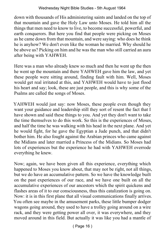down with thousands of His administering saints and landed on the top of that mountain and gave the Holy Law unto Moses. He told him all the things that men need to know to live, to become successful, powerful, and earth conquerors. But here you find that people were picking on Moses as he came down from that mountain, and were saying: who does he think he is anyhow? We don't even like the woman he married. Why should he be above us? Picking on him and he was the man who still carried an aura after being with YAHWEH.

Here was a man who already knew so much and then he went up the then he went up the mountain and there YAHWEH gave him the law, and yet these people were sitting around, finding fault with him. Well, Moses would get real irritated at this, and YAHWEH would have to just flood his heart and say; look, these are just people, and this is why some of the Psalms are called the songs of Moses.

YAHWEH would just say: now Moses, these people even though they want your guidance and leadership still they sort of resent the fact that I have shown and said these things to you. And yet they don't want to take the time themselves to do this work. So this is the experiences of Moses, and half the time he was walking with his head in the next plane. And yet he would fight, for he gave the Egyptian a Jude punch, and that didn't bother him. He also fought against the Arabian princes who came against the Midians and later married a Princess of the Midians. So Moses had lots of experiences but the experience he had with YAHWEH overrode everything he knew.

Now; again, we have been given all this experience, everything which happened to Moses you know about, that may not be right, not all things, but we do have an accumulative pattern. So we have the knowledge built on the past experiences of our race, and we have one built on all the accumulative experiences of our ancestors which the spirit quickens and flashes areas of it to our consciousness, thus this catalization is going on. Now: it is in this first plane that all visual communications finally arrives. You often see maybe in the amusement parks, these little bumper dodger wagons going around, they used to have a trolley going around on a wire rack, and they were getting power all over, it was everywhere, and they moved around in this field. But actually it was like you had a mantle of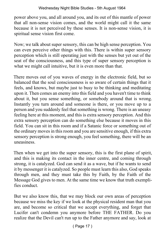power above you, and all around you, and its out of this mantle of power that all non‑sense vision comes, and the world might call it the same because it is not perceived by these senses. It is non‑sense vision, it is spiritual sense vision first come.

Now; we talk about super sensory, this can be high sense perception. You can even perceive other things with this. There is within super sensory perception which is still operating just with the senses but yet out of the seat of the consciousness, and this type of super sensory perception is what we might call intuitive, but it is even more than that.

There moves out of you waves of energy in the electronic field, but so balanced that the soul consciousness is so aware of certain things that it feels, and knows, but maybe just to busy to be thinking and meditating upon it. Then comes an enemy into this field and you haven't time to think about it, but you sense something, or somebody around that is wrong. Instantly you turn around and someone is there, or you move up to a person and you suddenly feel that something is wrong. There is an uneasy feeling here at this moment, and this is extra sensory perception. And this extra sensory perception can do something else because it moves in this field. You can sit in this room and if a Satanic force or something out of the ordinary moves in this room and you are sensitive enough, if this extra sensory perception is strong enough, you feel something, there will be an uneasiness.

Then when we get into the super sensory, this is the first plane of spirit, and this is making its contact in the inner centre, and coming through strong, it is catalyzed. God can send it as a wave, but if he wants to send it by messenger it is catalyzed. So people must learn this also, God speaks through men, and they must take this by Faith, by the Faith of the Message God gives to men. At the same time we know that truth exemplifies conduct.

But we also know this, that we may block our own areas of perception because we miss the key if we look at the physical resident man that you are, and become so critical that we accept everything, and forget that Lucifer can't condemn you anymore before THE FATHER. Do you realize that the Devil can't run up to the Father anymore and say, look at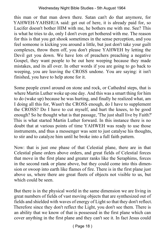this man or that man down there. Satan can't do that anymore, for YAHWEH-YAHSHUA said: get out of here, it is already paid for, so Lucifer doesn't bother HIM with me, he bothers me with me. See? This is what he tries to do, only I don't even get bothered with me. The reason for this is that you get shook sometimes in the sense perception, and you feel someone is kicking you around a little, but just don't take your guilt complexes, throw them off, you don't please YAHWEH by letting the Devil get you down. We have lots of preachers preaching a negative Gospel, they want people to be out here weeping because they made mistakes, and its all over. In other words if you are going to go back to weeping, you are leaving the CROSS undone. You are saying: it isn't finished, you have to help atone for it.

Some people crawl around on stone and rock, or Cathedral steps, that is where Martin Luther woke up one day. And this was a smart thing for him to do (wake up) because he was hurting, and finally he realized what, am I doing all this for, Wasn't the CROSS enough, do I have to supplement the CROSS? Do I have to cut myself, and hurt the knees, to be good enough? So he thought what is that passage, 'The just shall live by Faith?' This is what started Martin Luther forward. In this instance there is no doubt that at various points of time YAHWEH was ready to use those instruments, and thus a messenger was sent to just catalyse his thoughts, to stir and to catalyze him until he broke into a full faith pattern.

Now: that is just one phase of that Celestial plane, there are in that Celestial plane orders above orders, and great fields of Celestial forces that move in the first plane and greater ranks like the Seraphims, forces in the second rank or plane above, but they could come into this dimension or swoop into earth like flames of fire. There is in the first plane just above us, where there are great fleets of objects not visible to us, but which could be seen.

But there is in the physical world in the same dimension we are living in great numbers of fields of vast moving objects that are synthesized out of fields and shielded with waves of energy of Light so that they don't reflect. Therefore since they don't reflect the Light, you don't see them. There is an ability that we know of that is possessed in the first plane which can cover anything in the first plane and they can't see it. In fact Jesus could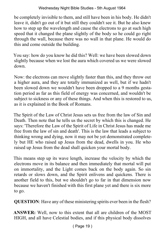be completely invisible to them, and still have been in his body. He didn't leave it, didn't go out of it but still they couldn't see it. But he also knew how to step up the wavelength and cause the electrons to go at such high speed that it changed the plane slightly of the body so he could go right through the wall, because there was no wall in that plane. He would do this and come outside the building.

You say: how do you know he did this? Well: we have been slowed down slightly because when we lost the aura which covered us we were slowed down.

Now: the electrons can move slightly faster than this, and they throw out a higher aura, and they are totally immunized as well, but if we hadn't been slowed down we wouldn't have been dropped to a 9 months gestation period as far as this field of energy was concerned, and wouldn't be subject to sickness or any of these things. And when this is restored to us, as it is explained in the Book of Romans.

The Spirit of the Law of Christ Jesus sets us free from the law of Sin and Death. Then note that he tells us the secret by which this is changed. He says: 'Therefore the Law of the Spirit of Life in Christ Jesus has made me free from the law of sin and death'. This is the law that leads a subject to thinking wrong and dying, now it may not be yet demonstrated completely but HE who raised up Jesus from the dead, dwells in you. He who raised up Jesus from the dead shall quicken your mortal body.

This means step up its wave length, increase the velocity by which the electrons move in its balance and then immediately that mortal will put on immortality, and the Light comes back on the body again. So sin retards or slows down, and the Spirit enlivens and quickens. There is another field to this, but we shouldn't go to far in that dimension now because we haven't finished with this first plane yet and there is six more to go.

**QUESTION**: Have any of these ministering spirits ever been in the flesh?

**ANSWER:** Well, now to this extent that all are children of the MOST HIGH, and all have Celestial bodies, and if this physical body dissolves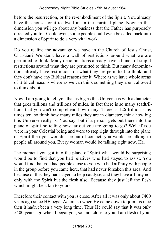before the resurrection, or the re-embodiment of the Spirit. You already have this house for it to dwell in, in the spiritual plane. Now: in that dimension you will go about any business that the Father has purposely directed you for. Could even, some people could even be called back into a dimension of Spirit to do a very vital work.

Do you realize the advantage we have in the Church of Jesus Christ, Christian? We don't have a wall of restrictions around what we are permitted to think. Many denominations already have a bunch of stupid restrictions around what they are permitted to think. But many denominations already have restrictions on what they are permitted to think, and they don't have any Biblical reasons for it. Where as we have whole areas of Biblical reasons where as we can think something they aren't allowed to think about.

Now: I am going to tell you that as big as this Universe is with a diameter that goes trillions and trillions of miles, in fact there is so many scadtrillions that you can't comprehend how many. There is 126 trillion suns times ten, so think how many miles they are in diameter, think how big this Universe really is. You say: but if a person gets out there into the plane of spirit no telling how far out you are going to go? Well if you were in your Celestial being and were to step right through into the plane of Spirit then you wouldn't be out of contact, you would be talking to people all around you, Every woman would be talking right now. Ha.

The moment you got into the plane of Spirit what would be surprising would be to find that you had relatives who had stayed to assist. You would find that you had people close to you who had affinity with people in the group before you came here, that had never forsaken this area. And because of this they had stayed to help catalyse, and they have affinity not only with the Spirit but the flesh also. Because they just left the flesh which might be a kin to yours.

Therefore their contact with you is close. After all it was only about 7400 years ago since HE begat Adam, so when He came down to join his race then it hadn't been a very long time. Thus He could say that it was only 5400 years ago when I begat you, so I am close to you, I am flesh of your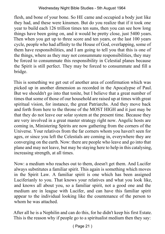flesh, and bone of your bone. So HE came and occupied a body just like they had, and these were kinsmen. But do you realize that if it took one year to build each 126 trillion times ten suns, then you can see how long things have been going on, and it would be pretty close, just 5400 years. Then when you get up to three score and ten years, or the last 100 years cycle, people who had affinity to the House of God, overlapping, some of them have responsibilities, and I am going to tell you that this is one of the things, where as they may not consummate responsibilities, they may be forced to consummate this responsibility in Celestial planes because the Spirit is still perfect. They may be forced to consummate and fill a bridge.

This is something we get out of another area of confirmation which was picked up in another dimension as recorded in the Apocalypse of Paul. But we shouldn't go into that tonite, but I believe that a great number of times that some of those of our household are raised up at times with great spiritual vision, for instance, the great Patriarchs. And they move back and forth from here to the throne of the MOST HIGH and it just may be that they do not leave our solar system at the present time. Because they are very involved in a great master strategy right now. Angelic hosts are coming in, Ministering Spirits are now gathering from the corners of the Universe. Your relatives from the far corners whom you haven't seen for ages, or since you left the Celestials are coming in, everywhere they are converging on the earth. Now: there are people who leave and go into that plane and may not leave, but may be staying here to help in this catalysing, increasing strength, at all times.

Now: a medium who reaches out to them, doesn't get them. And Lucifer always substitutes a familiar spirit. This again is something which moves in the Spirit Law. A familiar spirit is one which has been assigned Luciferianly to you. That knows your relatives and what you look like, and knows all about you, so a familiar spirit, not a good one and the medium are in league with Lucifer, and can have this familiar spirit appear to the individual looking like the countenance of the person to whom he was attached.

After all he is a Nephilin and can do this, for he didn't keep his first Estate. This is the reason why if people go to a spiritualist medium then they say: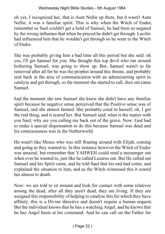#### Wednesday Night Bible Studies - 5th August 1964

oh yes, I recognized her, that is Aunt Nellie up there, but it wasn't Aunt Nellie, it was a familiar spirit. This is why when the Witch of Endor, remember as Saul couldn't get a hold of Samuel, he had been so negated by the wrong influence that when he prayed he didn't get through. Lucifer had influenced him that he wouldn't get through so he went to the Witch of Endor.

She was probably giving him a bad time all this period but she said: oh yes, I'll get Samuel for you. She thought this top devil who ran around bothering Samuel, was going to show up. But, Samuel wasn't to far removed after all for he was the prophet around this throne, and probably sent back in the area of communication with an administering spirit to catalyse and get through, so the moment she started to call, then out came Samuel.

And the moment she saw Samuel she knew she didn't have any familiar spirit because he negative sense perceived that the Positive sense was of Samuel, and she almost fainted. She probably cried to herself, oh, I got the real thing, and it scared her. But Samuel said: what is the matter with you Saul, why are you calling me back out of the grave. Now: God had to make a special dispensation to do this because Samuel was dead and his consciousness was in the Netherworld.

He wasn't like Moses who was still floating around with Elijah, coming and going as they wanted to. In this instance however the Witch of Endor was amazed, but remember that YAHWEH could send a messenger out when ever he wanted to, just like he called Lazarus out. But He called out Samuel and his Spirit came, and he told Saul that his end had come, and explained the situation to him, and as the Witch witnessed this it scared her almost to death.

Now: we are told to sit around and look for contact with some relatives among the dead, after all they aren't dead, they are living. If they are assigned this responsibility of helping to catalyse this for which they have affinity, this is a Divine directive and doesn't require a human request. But the individual knows that he has a watching Angel, and he knows that he has Angel hosts at his command. And he can call on the Father for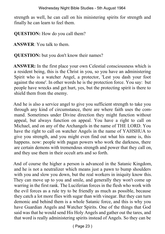strength as well, he can call on his ministering spirits for strength and finally he can learn to feel them.

**QUESTION:** How do you call them?

**ANSWER**: You talk to them.

**QUESTION:** but you don't know their names?

**ANSWER:** In the first place your own Celestial consciousness which is a resident being, this is the Christ in you, so you have an administering Spirit who is a watcher Angel, a protector, 'Lest you dash your foot against the stone'. In other words he is the protection force. You say: but people have wrecks and get hurt, yes, but the protecting spirit is there to shield them from the enemy.

And he is also a service angel to give you sufficient strength to take you through any kind of circumstance, there are where faith uses the command. Sometimes under Divine direction they might function without appeal, but always function on appeal. You have a right to call on Michael, and on any of the Archangels in the name of THE LORD. You have the right to call on watcher Angels in the name of YAHSHUA to give you strength, and you might even find out what his name is, this happens. now: people with pagan powers who work the darkness, there are certain demons with tremendous strength and power that they call on, and they use them in their occult arts and so forth.

And of course the higher a person is advanced in the Satanic Kingdom, and he is not a neutralizer which means just a pawn to bump shoulders with you and slow you down, but the real workers in iniquity know this. They can move up to you and smile, and generally they won't come up warring in the first rank. The Luciferian forces in the flesh who work with the evil forces as a rule try to be friendly as much as possible, because they catch a lot more flies with sugar than with vinegar. But they can turn demonic and behind them is a whole Satanic force, and this is why you have Guardian Angels and Watcher Spirits. One of the things that God said was that he would send His Holy Angels and gather out the tares, and that word is really administering spirits instead of Angels. So they can be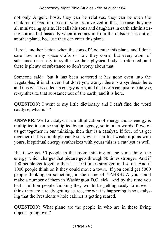not only Angelic hosts, they can be relatives, they can be even the Children of God in the earth who are involved in this, because they are all ministering spirits. He calls his sons and daughters in earth administering spirits, but basically when it comes in from the outside it is out of another plane, because they can enter this plane.

Here is another factor, when the sons of God enter this plane, and I don't care how many space crafts or how they come, but every atom of substance necessary to synthesize their physical body is reformed, and there is plenty of substance so don't worry about that.

Someone said: but it has been scattered it has gone even into the vegetables, it is all over, but don't you worry, there is a synthesis here, and it is what is called an energy norm, and that norm can just re-catalyse, re‑synthesize that substance out of the earth, and it is here.

**QUESTION:** I went to my little dictionary and I can't find the word catalyse, what is it?

**ANSWER:** Well a catalyst is a multiplication of energy and as energy is multiplied it can be multiplied by an agency, so in other words if two of us get together in our thinking, then that is a catalyst. If four of us get together that is a multiple catalyst. Now: if spiritual wisdom joins with yours, if spiritual energy synthesizes with yours this is a catalyst as well.

But if we get 50 people in this room thinking on the same thing, the energy which charges that picture gets through 50 times stronger. And if 100 people get together then it is 100 times stronger, and so on. And if 1000 people think on it they could move a town. If you could get 5000 people thinking on something in the name of YAHSHUA you could make a number of them in Washington D.C. sick. And by the time you had a million people thinking they would be getting ready to move. I think they are already getting scared, for what is happening is so catalysing that the Presidents whole cabinet is getting scared.

**QUESTION:** What plane are the people in who are in these flying objects going over?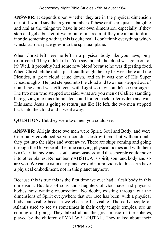**ANSWER:** It depends upon whether they are in the physical dimension or not. I would say that a great number of these crafts are just as tangible and real as the things we have in our own dimension, especially if they stop and get a bucket of water out of a stream, if they are about to drink it or do something with it, this is quite real. I don't think everything which whisks across space goes into the spiritual plane.

When Christ left here he left in a physical body like you have, only resurrected. They didn't kill it. You say: but all the blood was gone out of it? Well, it probably had some new blood because he was digesting food. When Christ left he didn't just float through the sky between here and the Pleaides, a great cloud came down, and in it was one of His Super Dreadnoughts. He just stepped into the cloud and two men stepped out of it and the cloud was effulgent with Light so they couldn't see through it. The two men who stepped out said: what are you men of Galilee standing here gazing into this illuminated could for, go back to Jerusalem and wait. This same Jesus is going to return just like He left. the two men stepped back into the cloud and it went away.

**QUESTION:** But they were two men you could see.

**ANSWER:** Alright these two men were Spirit, Soul and Body, and were Celestially enveloped so you couldn't destroy them, but without doubt they got into the ships and went away. There are ships coming and going through the Universe all the time carrying physical bodies and with them is a Celestial body and a soul consciousness, and these people could move into other planes. Remember YAHSHUA is spirit, soul and body and so are you. We can exist in any plane, we did not previous to this earth have a physical embodiment, not in this planet anyhow.

Because this is true this is the first time we ever had a flesh body in this dimension. But lots of sons and daughters of God have had physical bodies now waiting resurrection. No doubt, existing through out the dimensions of Spirit everywhere that our race has been, with a physical body but visible because we chose to be visible. The early people of Atlantis used to see us sometimes in their early temple temples, see us coming and going. They talked about the great music of the spheres, played by the children of YAHWEH‑PUTAH. They talked about their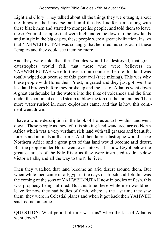Light and Glory. They talked about all the things they were taught, about the things of the Universe, and until the day Lucifer came along with these black men and started to mongrelise people, and told them to leave these Pyramid Temples that were high and come down to the low lands and mingle in the big orgies, these people were a great civilization. It says that YAHWEH‑PUTAH was so angry that he lifted his sons out of these Temples and they could see them no more.

And they were told that the Temples would be destroyed, that great catastrophes would fall, that those who were believers in YAHWEH‑PUTAH were to travel to far countries before this land was totally wiped out because of this great evil (race mixing). This was why these people with Horus their Priest, migrated and they just got over the last land bridges before they broke up and the last of Atlantis went down. A great earthquake let the waters into the fires of volcanoes and the fires under the continent caused steam to blow the top off the mountains. Then more water rushed in, more explosions came, and that is how this continent went down.

I have a whole description in the book of Horus as to how this land went down. These people as they left this sinking land wandered across North Africa which was a very verdant, rich land with tall grasses and beautiful forests and animals at that time. And then later catastrophe would strike Northern Africa and a great part of that land would become arid desert. But the people under Horus went over into what is now Egypt below the great cataracts of the Nile River as they were instructed to do, below Victoria Falls, and all the way to the Nile river.

Then they watched that land become an arid desert around them. But when white men came into Egypt in the days of Enoch and Job this was the coming of the sons of YAHWEH‑PUTAH now in bodies of flesh, this was prophecy being fulfilled. But this time these white men would not leave for now they had bodies of flesh, where as the last time they saw them, they were in Celestial planes and when it got back then YAHWEH said: come on home.

**QUESTION**: What period of time was this? when the last of Atlantis went down?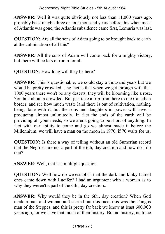**ANSWER**: Well it was quite obviously not less than 11,000 years ago, probably back maybe three or four thousand years before this when most of Atlantis was gone, the Atlantis subsidence came first, Lemuria was last.

**QUESTION:** Are all the sons of Adam going to be brought back to earth at the culmination of all this?

**ANSWER:** All the sons of Adam will come back for a mighty victory, but there will be lots of room for all.

**QUESTION**: How long will they be here?

**ANSWER**: This is questionable, we could stay a thousand years but we would be pretty crowded. The fact is that when we get through with that 1000 years there won't be any deserts, they will be blooming like a rose. You talk about a crowded. But just take a trip from here to the Canadian border, and see how much waste land there is out of cultivation, nothing being done with it, but the sons and daughters in power will have it producing almost unlimitedly. In fact the ends of the earth will be providing all your needs, so we aren't going to be short of anything. In fact with our ability to come and go we almost made it before the Millennium, we will have a man on the moon in 1970, if 70 waits for us.

**QUESTION:** Is there a way of telling without an old Sumerian record that the Negroes are not a part of the 6th, day creation and how do I do that?

**ANSWER**: Well, that is a multiple question.

**QUESTION:** Well how do we establish that the dark and kinky haired ones came down with Lucifer? I had an argument with a woman as to why they weren't a part of the 6th., day creation..

**ANSWER:** Why would they be in the 6th., day creation? When God made a man and woman and started out this race, this was the Tungus man of the Steppes, and this is pretty far back we know at least 600,000 years ago, for we have that much of their history. But no history, no trace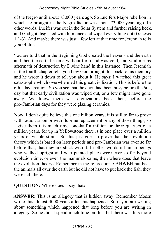of the Negro until about 73,000 years ago. So Lucifers Major rebellion in which he brought in the Negro factor was about 73,000 years ago. In other words, Lucifer was out in the Solar System and further raising heck, and God got disgusted with him once and wiped everything out (Genesis 1:1‑3). And maybe there was just a few left at that time for Jeremiah tells you of this.

You are told that in the Beginning God created the heavens and the earth and then the earth became without form and was void, and void means aftermath of destruction by Divine hand in this instance. Then Jeremiah in the fourth chapter tells you how God brought this back to his memory and he wrote it down to tell you about it. He says: I watched this great catastrophe which overwhelmed this great civilization. This is before the 6th., day creation. So you see that the devil had been busy before the 6th., day but that early civilization was wiped out, or a few might have gone away. We know there was civilizations back then, before the pre‑Cambrian days for they were glazing ceramics.

Now: I don't quite believe this one billion years, it is still to far to prove with radio carbon or with fluorine replacement or any of those things, so I give them this much time, one‑half a million or three quarters of a million years, for up in Yellowstone there is in one place over a million years of visible straits. So this just goes to prove that their evolution theory which is based on later periods and pre‑Cambrian was ever so far before that, that they are stuck with it. In other words if human beings who walked upright and who painted plates were ever so far beyond evolution time, or even the mammals came, then where does that leave the evolution theory? Remember in the re‑creation YAHWEH put back the animals all over the earth but he did not have to put back the fish, they were still there.

**QUESTION:** Where does it say that?

**ANSWER**: This is an allegory that is hidden away. Remember Moses wrote this almost 4000 years after this happened. So if you are writing about something which happened that long before you are writing in allegory. So he didn't spend much time on this, but there was lots more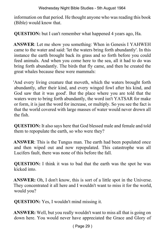information on that period. He thought anyone who was reading this book (Bible) would know that.

**QUESTION:** but I can't remember what happened 4 years ago, Ha.

**ANSWER**: Let me show you something: When in Genesis I YAHWEH came to the water and said: 'let the waters bring forth abundantly'. In this instance the earth brought back its grass and so forth before you could feed animals. And when you come here to the sea, all it had to do was bring forth abundantly. The birds that fly came, and then he created the great whales because these were mammals:

'And every living creature that moveth, which the waters brought forth abundantly, after their kind, and every winged fowl after his kind, and God saw that it was good'. But the place where you are told that the waters were to bring forth abundantly, the word isn't YATSAR for make or form, it is just the word for increase, or multiply. So you see the fact is that the world covered with large masses of water would never drown all the fish.

**QUESTION:** It also says here that God blessed male and female and told them to repopulate the earth, so who were they?

**ANSWER**: This is the Tungus man. The earth had been populated once and then wiped out and now repopulated. This catastrophe was all Lucifers fault, there was none of this before the fall.

**QUESTION:** I think it was to bad that the earth was the spot he was kicked into.

**ANSWER:** Oh, I don't know, this is sort of a little spot in the Universe. They concentrated it all here and I wouldn't want to miss it for the world, would you?

**QUESTION:** Yes, I wouldn't mind missing it.

**ANSWER:** Well, but you really wouldn't want to miss all that is going on down here. You would never have appreciated the Grace and Glory of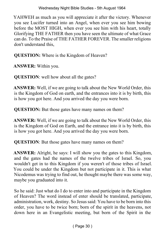#### Wednesday Night Bible Studies - 5th August 1964

YAHWEH as much as you will appreciate it after the victory. Whenever you see Lucifer turned into an Angel, when ever you see him bowing before the MOST HIGH, when ever you see him with his heart, totally Glorifying THE FATHER then you have seen the ultimate of what Grace can do. To the Praise of THE FATHER FOREVER. The smaller religions don't understand this,

**QUESTION:** Where is the Kingdom of Heaven?

**ANSWER:** Within you.

**QUESTION:** well how about all the gates?

**ANSWER:** Well, if we are going to talk about the New World Order, this is the Kingdom of God on earth, and the entrances into it is by birth, this is how you got here. And you arrived the day you were born.

**QUESTION:** But those gates have many names on them?

**ANSWER:** Well, if we are going to talk about the New World Order, this is the Kingdom of God on Earth, and the entrance into it is by birth, this is how you got here. And you arrived the day you were born.

**QUESTION:** But those gates have many names on them?

**ANSWER:** Alright, he says: I will show you the gates to this Kingdom, and the gates had the names of the twelve tribes of Israel. So, you wouldn't get in to this Kingdom if you weren't of those tribes of Israel. You could be under the Kingdom but not participate in it. This is what Nicodemus was trying to find out, he thought maybe there was some way, maybe you graduated into it.

So he said: Just what do I do to enter into and participate in the Kingdom of Heaven? The word instead of enter should be translated, participate, administration, work, destiny. So Jesus said: You have to be born into this order, you have to be twice born; born of the spirit in the heavens, not down here in an Evangelistic meeting, but born of the Spirit in the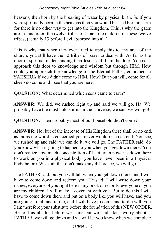heavens, then born by the breaking of water by physical birth. So if you were spiritually born in the heavens then you would be seed born in earth for there is no other way to get into the Kingdom. This is why the gates are in this order, the twelve tribes of Israel, the children of these twelve tribes, (actually 13 before Levi absorbed into all.)

This is why that when they even tried to apply this to any area of the church, you still have the 12 tribes of Israel to deal with. As far as the door of spiritual understanding then Jesus said: I am the door. You can't approach this door to knowledge and wisdom but through HIM. How could you approach the knowledge of the Eternal Father, embodied in YAHSHUA if you didn't come to HIM, How? But you will, come for all sheep do come and I see that you are here.

**QUESTION:** What determined which sons came to earth?

**ANSWER:** We did, we rushed right up and said we will go. Ha. We probably have the most bold spirits in the Universe, we said we will go!!

**QUESTION**: Then probably most of our household didn't come?

**ANSWER:** No, but of the increase of His Kingdom there shall be no end, as far as the world is concerned you never would reach an end. You see, we rushed up and said: we can do it, we will go. The FATHER said: do you know what is going to happen to you when you get down there? You don't realize how much concentration of Luciferian power is down there to work on you in a physical body, you have never been in a Physical body before. We said: that don't make any difference, we will go.

The FATHER said: but you will fall when you get down there, and I will have to come down and redeem you. He said: I will write down your names, everyone of you right here in my book of records, everyone of you are my children, I will make a covenant with you. But to do this I will have to come down there and put on a body like you will have, and you are going to fall and to die, and I will have to come and to die with you. I am therefore your substitute before the foundation of this NEW ORDER. He told us all this before we came but we said: don't worry about it FATHER, we will go down and we will let you know when we complete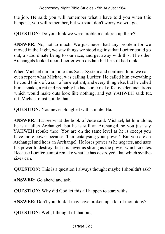#### Wednesday Night Bible Studies - 5th August 1964

the job. He said: you will remember what I have told you when this happens, you will remember, but we said: don't worry we will go.

**QUESTION:** Do you think we were problem children up there?

**ANSWER:** No, not to much. We just never had any problem for we moved in the Light, we saw things we stood against that Lucifer could go out, a subordinate being to our race, and get away with this. The other Archangels looked upon Lucifer with disdain but he still had rank.

When Michael ran him into this Solar System and confined him, we can't even repeat what Michael was calling Lucifer. He called him everything he could think of, a son of an elephant, and every thing else, but he called him a snake, a rat and probably he had some real effective denunciations which would make outs look like nothing, and yet YAHWEH said: tut, tut, Michael must not do that.

**QUESTION**: You never ploughed with a mule. Ha.

**ANSWER:** But see what the book of Jude said: Michael, let him alone, he is a fallen Archangel, but he is still an Archangel, so you just say YAHWEH rebuke thee! You are on the same level as he is except you have more power because, 'I am catalysing your power!' But you are an Archangel and he is an Archangel. He loses power as he negates, and uses his power to destroy, but it is never as strong as the power which creates. Because Lucifer cannot remake what he has destroyed, that which synthesizes can.

**QUESTION:** This is a question I always thought maybe I shouldn't ask?

**ANSWER:** Go ahead and ask.

**QUESTION:** Why did God let this all happen to start with?

**ANSWER:** Don't you think it may have broken up a lot of monotony?

**QUESTION**: Well, I thought of that but,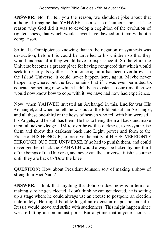**ANSWER:** No, I'll tell you the reason, we shouldn't joke about that although I imagine that YAHWEH has a sense of humour about it. The reason why God did it was to develop a cognition of the evolution of righteousness, that which would never have dawned on them without a comparison.

So in His Omnipotence knowing that in the negation of synthesis was destruction, before this could be unveiled to his children so that they would understand it they would have to experience it. So therefore the Universe becomes a greater place for having conquered that which would seek to destroy its synthesis. And once again it has been overthrown in the Island Universe, it could never happen here, again. Maybe never happen anywhere, but the fact remains that if it was ever permitted to, educate, something new which hadn't been existent to our time then we would now know how to cope with it, we have had now had experience.

Now: when YAHWEH invested an Archangel in this, Lucifer was His Archangel, and when he fell, he was out of the fold but still an Archangel, and all these one‑third of the hosts of heaven who fell with him were still his Angels, and he still has them. He has to being them all back and make them all acknowledge HIM to overthrow this darkness, to re-synthesise them and throw this darkness back into Light, power and form to the Praise of HIS HONOUR, to preserve the entity of HIS SOVEREIGNTY THROUGH OUT THE UNIVERSE. If he had to punish them, and could never get them back the YAHWEH would always be licked by one-third of the beings of the Universe, and never can the Universe finish its course until they are back to 'Bow the knee'.

**QUESTION:** How about President Johnson sort of making a show of strength in Viet Nam?

**ANSWER:** I think that anything that Johnson does now is in terms of making sure he gets elected. I don't think he can get elected, he is setting up a stage where he could always use an excuse to postpone an election indefinitely. He might be able to get an extension or postponement if Russia would move and strike with suddenness. This might happen since we are hitting at communist ports. But anytime that anyone shoots at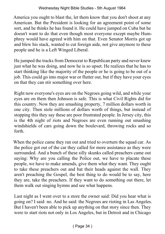America you ought to blast the, let them know that you don't shoot at any American. But the President is looking for an agreement point of some sort, and he thinks he has found it. He could have jumped on Cuba but he doesn't want to do that even though most everyone except maybe Humphrey would have agreed with him on that. Even Senator Morris got up and blew his stack, wanted to cut foreign aide, not give anymore to these people and he is a Left Winged Liberal.

He jumped the tracks from Democrat to Republican party and never knew just what he was doing, and now he is so upset. He realizes that he has to start thinking like the majority of the people or he is going to be out of a job. This could go into major war or flutter out, but if they have your eyes on that they can stir something over here.

Right now everyone's eyes are on the Negroes going wild, and while your eyes are on them then Johnson is safe. This is what Civil Rights did for this country. Now they are smashing property, 7 million dollars worth in one city. Then stole millions of dollars worth of things, but instead of stopping this they say these are poor frustrated people. In Jersey city, this is the 4th night of riots and Negroes are even running out smashing windshields of cars going down the boulevard, throwing rocks and so forth.

When the police came they ran out and tried to overturn the squad car. As the police got out of the car they called for more assistance as they were surrounded. And a bunch of these silly skunks called preachers came out saying: Why are you calling the Police out, we have to placate these people, we have to make amends, give them what they want. They ought to take these preachers out and bat their heads against the wall. They aren't preaching the Gospel, the best thing to do would be to say, here they are, take the preachers. If they want to do something out there, let them walk out singing hymns and see what happens.

Last night as I went over to a store the owner said: Did you hear what is going on? I said: no. And he said: the Negroes are rioting in Las Angeles. But I haven't been able to pick up anything on that story since then. They were to start riots not only in Los Angeles, but in Detroit and in Chicago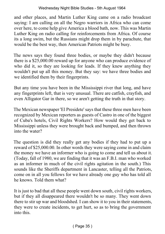and other places, and Martin Luther King came on a radio broadcast saying: I am calling on all the Negro warriors in Africa who can come over here, to come help give America a blood bath, now. This was Martin Luther King on radio calling for reinforcements from Africa. Of course its a long swim, but the Russians might drop them in by parachute, that would be the best way, then American Patriots might be busy.

The news says they found three bodies, or maybe they didn't because there is a \$25,000.00 reward up for anyone who can produce evidence of who did it, so they are looking for leads. If they knew anything they wouldn't put up all this money. But they say: we have three bodies and we identified them by their fingerprints.

But any time you have been in the Mississippi river that long, and have any fingerprints left, that is very unusual. There are catfish, crayfish, and even Alligator Gar in there, so we aren't getting the truth in that story.

The Mexican newspaper 'El Presidete' says that these three men have been recognized by Mexican reporters as guests of Castro in one of the biggest of Cuba's hotels, Civil Rights Workers? How would they get back to Mississippi unless they were brought back and bumped, and then thrown into the water?

The question is did they really get any bodies if they had to put up a reward of \$25,000.00. In other words they were saying come in and claim the money we have an informer who is going to come and tell us about it. (Today, fall of 1980, we are finding that it was an F.B.I. man who worked as an informer in much of the civil rights agitation in the south.) This sounds like the Sheriffs department in Lancaster, telling all the Patriots, come on in all you fellows for we have already one guy who has told all he knows. Told them what?

It is just to bad that all these people went down south, civil rights workers, but if they all disappeared there wouldn't be so many. They went down there to stir up war and bloodshed. I can show it to you in their statements, they were to create incidents, to get hurt, so as to bring the government into this.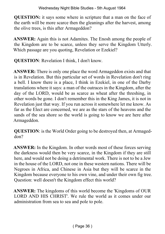**QUESTION:** it says some where in scripture that a man on the face of the earth will be more scarce then the gleanings after the harvest, among the olive trees, is this after Armageddon?

**ANSWER:** Again this is not Adamites. The Enosh among the people of the Kingdom are to be scarce, unless they serve the Kingdom Utterly. Which passage are you quoting, Revelation or Ezekiel?

**QUESTION**: Revelation I think, I don't know.

**ANSWER:** There is only one place the word Armageddon exists and that is in Revelation. But this particular set of words in Revelation don't ring a bell. I know there is a place, I think in Ezekiel, in one of the Darby translations where it says: a man of the outraces in the Kingdom, after the day of the LORD, would be as scarce as wheat after the threshing, in other words be gone. I don't remember this in the King James, it is not in Revelation just that way. If you run across it somewhere let me know. As far as the Elect are concerned, we are as the stars of the heavens and the sands of the sea shore so the world is going to know we are here after Armageddon.

**QUESTION:** is the World Order going to be destroyed then, at Armageddon?

**ANSWER:** In the Kingdom. In other words most of these forces serving the darkness would then be very scarce, in the Kingdom if they are still here, and would not be doing a detrimental work. There is not to be a Jew in the house of the LORD, not one in these western nations. There will be Negroes in Africa, and Chinese in Asia but they will be scarce in the Kingdom because everyone to his own vine, and under their own fig tree. Question: well doesn't the Kingdom effect this world?

**ANSWER:** The kingdoms of this world become the 'Kingdoms of OUR LORD AND HIS CHRIST'. We rule the world as it comes under our administration from sea to sea and pole to pole.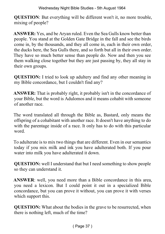Wednesday Night Bible Studies - 5th August 1964

**QUESTION**: But everything will be different won't it, no more trouble, mixing of people?

**ANSWER:** Yes, and be Aryan ruled. Even the Sea Gulls know better than people. You stand at the Golden Gate Bridge in the fall and see the birds come in, by the thousands, and they all come in, each in their own order, the ducks here, the Sea Gulls there, and so forth but all in their own order. They have so much better sense than people do. Now and then you see them walking close together but they are just passing by, they all stay in their own groups.

**QUESTION:** I tried to look up adultery and find any other meaning in my Bible concordance, but I couldn't find any?

**ANSWER:** That is probably right, it probably isn't in the concordance of your Bible, but the word is Adulomos and it means cohabit with someone of another race.

The word translated all through the Bible as, Bastard, only means the offspring of a cohabitant with another race. It doesn't have anything to do with the parentage inside of a race. It only has to do with this particular word.

To adulterate is to mix two things that are different. Even in our semantics today if you mix milk and ink you have adulterated both. If you pour water into milk you have adulterated it down.

**QUESTION:** well I understand that but I need something to show people so they can understand it.

**ANSWER**: well, you need more than a Bible concordance in this area, you need a lexicon. But I could point it out in a specialized Bible concordance, but you can prove it without, you can prove it with verses which support this.

**QUESTION:** What about the bodies in the grave to be resurrected, when there is nothing left, much of the time?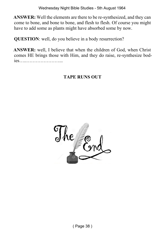**ANSWER:** Well the elements are there to be re-synthesized, and they can come to bone, and bone to bone, and flesh to flesh. Of course you might have to add some as plants might have absorbed some by now.

**QUESTION**: well, do you believe in a body resurrection?

**ANSWER:** well, I believe that when the children of God, when Christ comes HE brings those with Him, and they do raise, re-synthesize bodies…..…………………...

### **TAPE RUNS OUT**

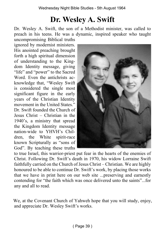# **Dr. Wesley A. Swift**

Dr. Wesley A. Swift, the son of a Methodist minister, was called to preach in his teens. He was a dynamic, inspired speaker who taught uncompromising Biblical truths

ignored by modernist ministers. His anointed preaching brought forth a high spiritual dimension of understanding to the Kingdom Identity message, giving "life" and "power" to the Sacred Word. Even the antichrists acknowledge that, "Wesley Swift is considered the single most significant figure in the early years of the Christian Identity movement in the United States." Dr. Swift founded the Church of Jesus Christ – Christian in the 1940's, a ministry that spread the Kingdom Identity message nation-wide to YHVH's Children, the White spirit-race known Scripturally as "sons of God". By teaching these truths



to true Israel, this warrior-priest put fear in the hearts of the enemies of Christ. Following Dr. Swift's death in 1970, his widow Lorraine Swift faithfully carried on the Church of Jesus Christ – Christian. We are highly honoured to be able to continue Dr. Swift's work, by placing those works that we have in print here on our web site ...preserving and earnestly contending for "the faith which was once delivered unto the saints"...for any and all to read.

We, at the Covenant Church of Yahweh hope that you will study, enjoy, and appreciate Dr. Wesley Swift's works.